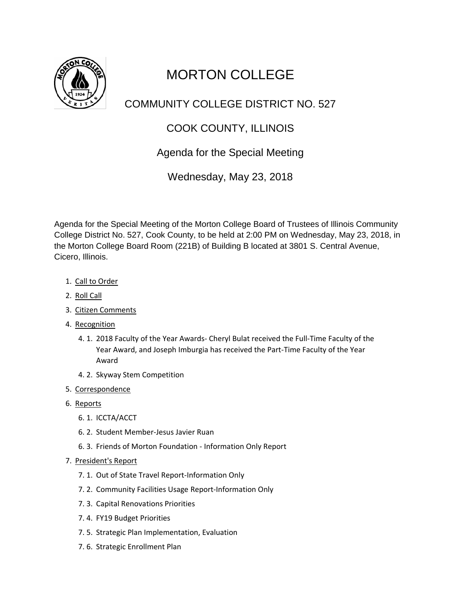

# MORTON COLLEGE

## COMMUNITY COLLEGE DISTRICT NO. 527

# COOK COUNTY, ILLINOIS

### Agenda for the Special Meeting

Wednesday, May 23, 2018

Agenda for the Special Meeting of the Morton College Board of Trustees of Illinois Community College District No. 527, Cook County, to be held at 2:00 PM on Wednesday, May 23, 2018, in the Morton College Board Room (221B) of Building B located at 3801 S. Central Avenue, Cicero, Illinois.

- 1. Call to Order
- 2. Roll Call
- 3. Citizen Comments
- 4. Recognition
	- 4. 1. 2018 Faculty of the Year Awards- Cheryl Bulat received the Full-Time Faculty of the Year Award, and Joseph Imburgia has received the Part-Time Faculty of the Year Award
	- 4. 2. Skyway Stem Competition
- 5. Correspondence
- 6. Reports
	- 6. 1. ICCTA/ACCT
	- 6. 2. Student Member-Jesus Javier Ruan
	- 6. 3. Friends of Morton Foundation Information Only Report
- 7. President's Report
	- 7. 1. Out of State Travel Report-Information Only
	- 7. 2. Community Facilities Usage Report-Information Only
	- 7. 3. Capital Renovations Priorities
	- 7. 4. FY19 Budget Priorities
	- 7. 5. Strategic Plan Implementation, Evaluation
	- 7. 6. Strategic Enrollment Plan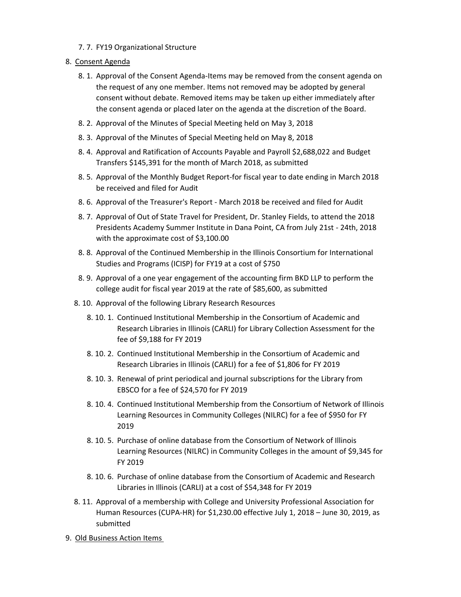- 7. 7. FY19 Organizational Structure
- 8. Consent Agenda
	- 8. 1. Approval of the Consent Agenda-Items may be removed from the consent agenda on the request of any one member. Items not removed may be adopted by general consent without debate. Removed items may be taken up either immediately after the consent agenda or placed later on the agenda at the discretion of the Board.
	- 8. 2. Approval of the Minutes of Special Meeting held on May 3, 2018
	- 8. 3. Approval of the Minutes of Special Meeting held on May 8, 2018
	- 8. 4. Approval and Ratification of Accounts Payable and Payroll \$2,688,022 and Budget Transfers \$145,391 for the month of March 2018, as submitted
	- 8. 5. Approval of the Monthly Budget Report-for fiscal year to date ending in March 2018 be received and filed for Audit
	- 8. 6. Approval of the Treasurer's Report March 2018 be received and filed for Audit
	- 8. 7. Approval of Out of State Travel for President, Dr. Stanley Fields, to attend the 2018 Presidents Academy Summer Institute in Dana Point, CA from July 21st - 24th, 2018 with the approximate cost of \$3,100.00
	- 8. 8. Approval of the Continued Membership in the Illinois Consortium for International Studies and Programs (ICISP) for FY19 at a cost of \$750
	- 8. 9. Approval of a one year engagement of the accounting firm BKD LLP to perform the college audit for fiscal year 2019 at the rate of \$85,600, as submitted
	- 8. 10. Approval of the following Library Research Resources
		- 8. 10. 1. Continued Institutional Membership in the Consortium of Academic and Research Libraries in Illinois (CARLI) for Library Collection Assessment for the fee of \$9,188 for FY 2019
		- 8. 10. 2. Continued Institutional Membership in the Consortium of Academic and Research Libraries in Illinois (CARLI) for a fee of \$1,806 for FY 2019
		- 8. 10. 3. Renewal of print periodical and journal subscriptions for the Library from EBSCO for a fee of \$24,570 for FY 2019
		- 8. 10. 4. Continued Institutional Membership from the Consortium of Network of Illinois Learning Resources in Community Colleges (NILRC) for a fee of \$950 for FY 2019
		- 8. 10. 5. Purchase of online database from the Consortium of Network of Illinois Learning Resources (NILRC) in Community Colleges in the amount of \$9,345 for FY 2019
		- 8. 10. 6. Purchase of online database from the Consortium of Academic and Research Libraries in Illinois (CARLI) at a cost of \$54,348 for FY 2019
	- 8. 11. Approval of a membership with College and University Professional Association for Human Resources (CUPA-HR) for \$1,230.00 effective July 1, 2018 – June 30, 2019, as submitted
- 9. Old Business Action Items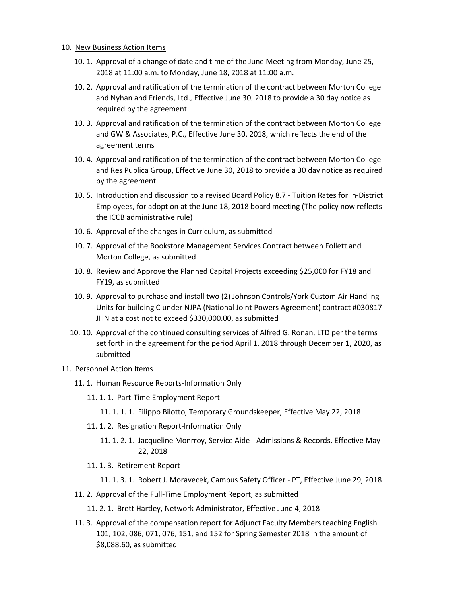#### 10. New Business Action Items

- 10. 1. Approval of a change of date and time of the June Meeting from Monday, June 25, 2018 at 11:00 a.m. to Monday, June 18, 2018 at 11:00 a.m.
- 10. 2. Approval and ratification of the termination of the contract between Morton College and Nyhan and Friends, Ltd., Effective June 30, 2018 to provide a 30 day notice as required by the agreement
- 10. 3. Approval and ratification of the termination of the contract between Morton College and GW & Associates, P.C., Effective June 30, 2018, which reflects the end of the agreement terms
- 10. 4. Approval and ratification of the termination of the contract between Morton College and Res Publica Group, Effective June 30, 2018 to provide a 30 day notice as required by the agreement
- 10. 5. Introduction and discussion to a revised Board Policy 8.7 Tuition Rates for In-District Employees, for adoption at the June 18, 2018 board meeting (The policy now reflects the ICCB administrative rule)
- 10. 6. Approval of the changes in Curriculum, as submitted
- 10. 7. Approval of the Bookstore Management Services Contract between Follett and Morton College, as submitted
- 10. 8. Review and Approve the Planned Capital Projects exceeding \$25,000 for FY18 and FY19, as submitted
- 10. 9. Approval to purchase and install two (2) Johnson Controls/York Custom Air Handling Units for building C under NJPA (National Joint Powers Agreement) contract #030817- JHN at a cost not to exceed \$330,000.00, as submitted
- 10. 10. Approval of the continued consulting services of Alfred G. Ronan, LTD per the terms set forth in the agreement for the period April 1, 2018 through December 1, 2020, as submitted

### 11. Personnel Action Items

- 11. 1. Human Resource Reports-Information Only
	- 11. 1. 1. Part-Time Employment Report
		- 11. 1. 1. 1. Filippo Bilotto, Temporary Groundskeeper, Effective May 22, 2018
	- 11. 1. 2. Resignation Report-Information Only
		- 11. 1. 2. 1. Jacqueline Monrroy, Service Aide Admissions & Records, Effective May 22, 2018
	- 11. 1. 3. Retirement Report
		- 11. 1. 3. 1. Robert J. Moravecek, Campus Safety Officer PT, Effective June 29, 2018
- 11. 2. Approval of the Full-Time Employment Report, as submitted
	- 11. 2. 1. Brett Hartley, Network Administrator, Effective June 4, 2018
- 11. 3. Approval of the compensation report for Adjunct Faculty Members teaching English 101, 102, 086, 071, 076, 151, and 152 for Spring Semester 2018 in the amount of \$8,088.60, as submitted